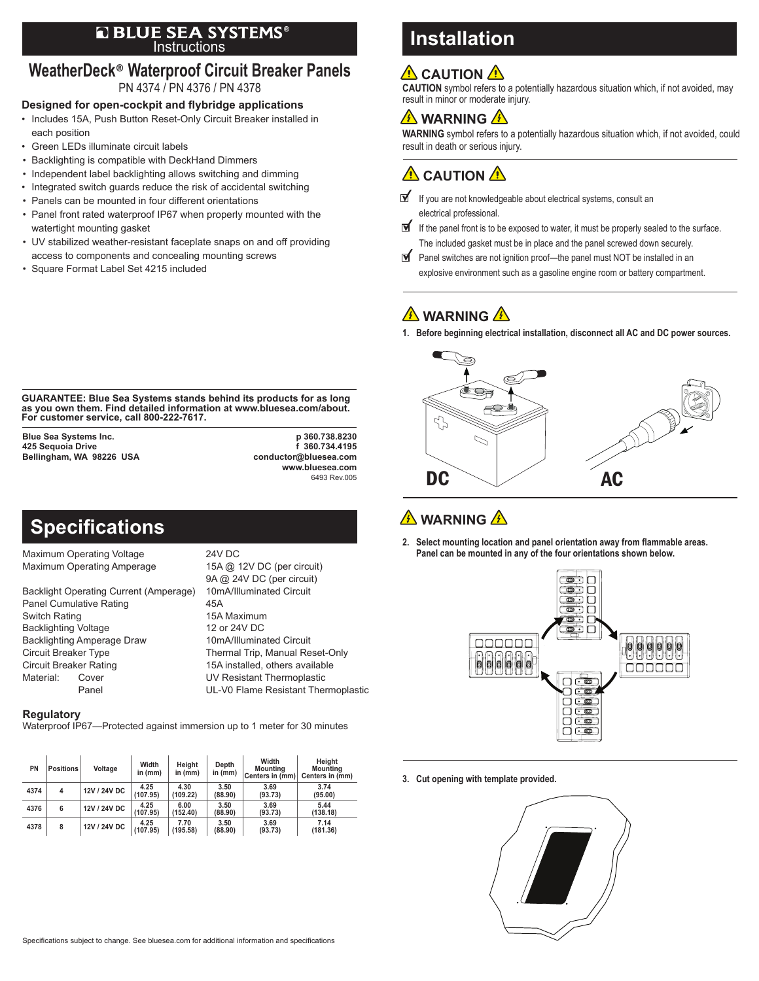#### Instructions ®

#### **WeatherDeck**® **Waterproof Circuit Breaker Panels** PN 4374 / PN 4376 / PN 4378

#### **Designed for open-cockpit and flybridge applications**

- Includes 15A, Push Button Reset-Only Circuit Breaker installed in each position
- Green LEDs illuminate circuit labels
- Backlighting is compatible with DeckHand Dimmers
- Independent label backlighting allows switching and dimming
- Integrated switch guards reduce the risk of accidental switching
- Panels can be mounted in four different orientations
- Panel front rated waterproof IP67 when properly mounted with the watertight mounting gasket
- UV stabilized weather-resistant faceplate snaps on and off providing access to components and concealing mounting screws
- Square Format Label Set 4215 included

# **Installation**

### **A** CAUTION A

**CAUTION** symbol refers to a potentially hazardous situation which, if not avoided, may result in minor or moderate injury.

### **A** WARNING A

**WARNING** symbol refers to a potentially hazardous situation which, if not avoided, could result in death or serious injury.

 $\hat{\mathbf{\Lambda}}$  CAUTION  $\hat{\mathbf{\Lambda}}$ 

- If you are not knowledgeable about electrical systems, consult an electrical professional.
- ∀ If the panel front is to be exposed to water, it must be properly sealed to the surface. The included gasket must be in place and the panel screwed down securely.
- Panel switches are not ignition proof—the panel must NOT be installed in an explosive environment such as a gasoline engine room or battery compartment.

# **A** WARNING A

**1. Before beginning electrical installation, disconnect all AC and DC power sources.**



## **WARNING**

**2. Select mounting location and panel orientation away from flammable areas. Panel can be mounted in any of the four orientations shown below.**



**3. Cut opening with template provided.**



**GUARANTEE: Blue Sea Systems stands behind its products for as long as you own them. Find detailed information at www.bluesea.com/about. For customer service, call 800-222-7617.**

**425 Sequoia Drive f 360.734.4195 Bellingham, WA 98226 USA** 

**Blue Sea Systems Inc. p 360.738.8230 www.bluesea.com** 6493 Rev.005

# **Specifications**

Maximum Operating Voltage 24V DC<br>Maximum Operating Amperage 15A @ 12V DC (per circuit) Maximum Operating Amperage

Backlight Operating Current (Amperage) 10mA/Illuminated Circuit Panel Cumulative Rating **45A** Switch Rating 15A Maximum<br>Backlighting Voltage 15A Maximum 12 or 24V DC **Backlighting Voltage** Backlighting Amperage Draw 10mA/Illuminated Circuit Circuit Breaker Type Thermal Trip, Manual Reset-Only Circuit Breaker Rating 15A installed, others available Material: Cover UV Resistant Thermoplastic

 9A @ 24V DC (per circuit) Panel **UL-V0 Flame Resistant Thermoplastic** 

#### **Regulatory**

Waterproof IP67—Protected against immersion up to 1 meter for 30 minutes

| PN   | <b>Positions</b> | Voltage      | Width<br>in (mm) | Height<br>in $(mm)$ | Depth<br>in (mm) | Width<br><b>Mounting</b><br>Centers in (mm) | Height<br><b>Mounting</b><br>Centers in (mm) |
|------|------------------|--------------|------------------|---------------------|------------------|---------------------------------------------|----------------------------------------------|
| 4374 | 4                | 12V / 24V DC | 4.25<br>(107.95) | 4.30<br>(109.22)    | 3.50<br>(88.90)  | 3.69<br>(93.73)                             | 3.74<br>(95.00)                              |
| 4376 | 6                | 12V / 24V DC | 4.25<br>(107.95) | 6.00<br>(152.40)    | 3.50<br>(88.90)  | 3.69<br>(93.73)                             | 5.44<br>(138.18)                             |
| 4378 | 8                | 12V / 24V DC | 4.25<br>(107.95) | 7.70<br>(195.58)    | 3.50<br>(88.90)  | 3.69<br>(93.73)                             | 7.14<br>(181.36)                             |